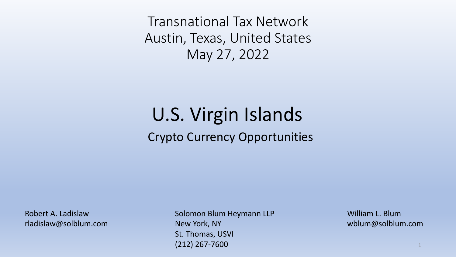Transnational Tax Network Austin, Texas, United States May 27, 2022

#### Crypto Currency Opportunities U.S. Virgin Islands

Robert A. Ladislaw rladislaw@solblum.com Solomon Blum Heymann LLP New York, NY St. Thomas, USVI (212) 267-7600

William L. Blum wblum@solblum.com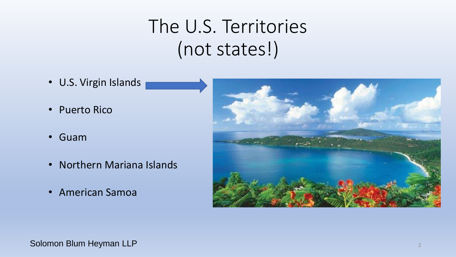# The U.S. Territories (not states!)

- U.S. Virgin Islands
- Puerto Rico
- Guam
- Northern Mariana Islands
- American Samoa



Solomon Blum Heyman LLP <sup>2</sup>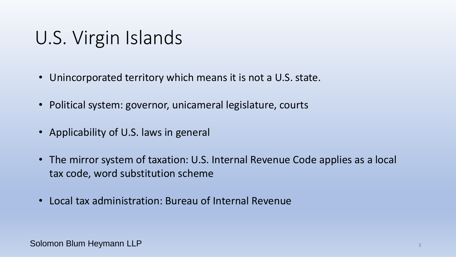#### U.S. Virgin Islands

- Unincorporated territory which means it is not a U.S. state.
- Political system: governor, unicameral legislature, courts
- Applicability of U.S. laws in general
- The mirror system of taxation: U.S. Internal Revenue Code applies as a local tax code, word substitution scheme
- Local tax administration: Bureau of Internal Revenue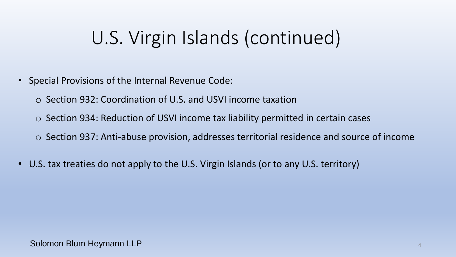# U.S. Virgin Islands (continued)

- Special Provisions of the Internal Revenue Code:
	- o Section 932: Coordination of U.S. and USVI income taxation
	- o Section 934: Reduction of USVI income tax liability permitted in certain cases
	- o Section 937: Anti-abuse provision, addresses territorial residence and source of income
- U.S. tax treaties do not apply to the U.S. Virgin Islands (or to any U.S. territory)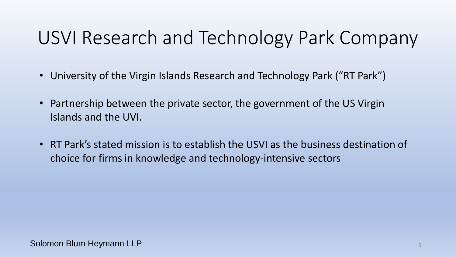# USVI Research and Technology Park Company

- University of the Virgin Islands Research and Technology Park ("RT Park")
- Partnership between the private sector, the government of the US Virgin Islands and the UVI.
- RT Park's stated mission is to establish the USVI as the business destination of choice for firms in knowledge and technology-intensive sectors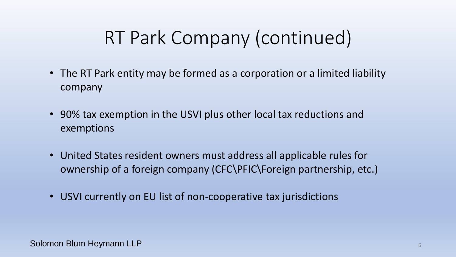# RT Park Company (continued)

- The RT Park entity may be formed as a corporation or a limited liability company
- 90% tax exemption in the USVI plus other local tax reductions and exemptions
- United States resident owners must address all applicable rules for ownership of a foreign company (CFC\PFIC\Foreign partnership, etc.)
- USVI currently on EU list of non-cooperative tax jurisdictions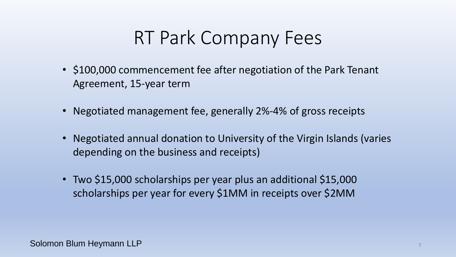# RT Park Company Fees

- \$100,000 commencement fee after negotiation of the Park Tenant Agreement, 15-year term
- Negotiated management fee, generally 2%-4% of gross receipts
- Negotiated annual donation to University of the Virgin Islands (varies depending on the business and receipts)
- Two \$15,000 scholarships per year plus an additional \$15,000 scholarships per year for every \$1MM in receipts over \$2MM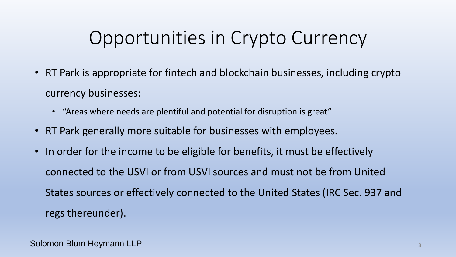# Opportunities in Crypto Currency

- RT Park is appropriate for fintech and blockchain businesses, including crypto currency businesses:
	- "Areas where needs are plentiful and potential for disruption is great"
- RT Park generally more suitable for businesses with employees.
- In order for the income to be eligible for benefits, it must be effectively connected to the USVI or from USVI sources and must not be from United States sources or effectively connected to the United States (IRC Sec. 937 and regs thereunder).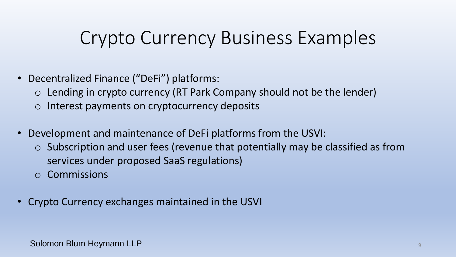# Crypto Currency Business Examples

- Decentralized Finance ("DeFi") platforms:
	- $\circ$  Lending in crypto currency (RT Park Company should not be the lender)
	- o Interest payments on cryptocurrency deposits
- Development and maintenance of DeFi platforms from the USVI:
	- o Subscription and user fees (revenue that potentially may be classified as from services under proposed SaaS regulations)
	- o Commissions
- Crypto Currency exchanges maintained in the USVI